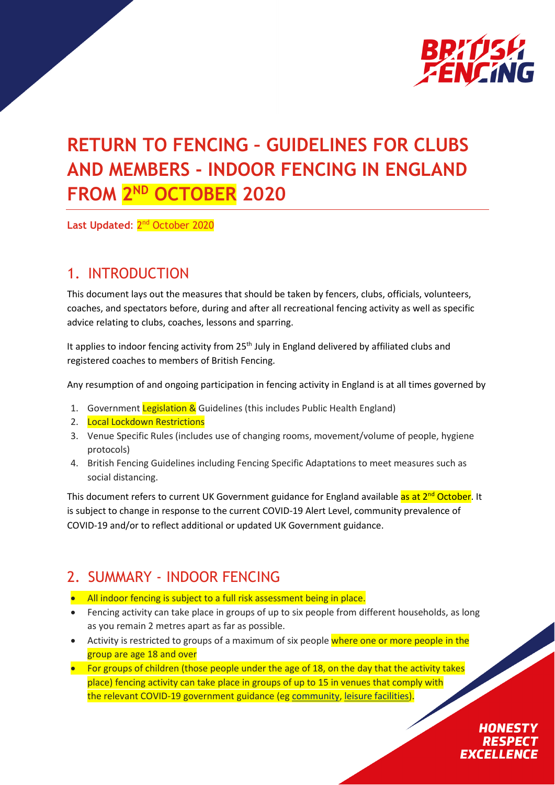

# **RETURN TO FENCING – GUIDELINES FOR CLUBS AND MEMBERS - INDOOR FENCING IN ENGLAND FROM 2ND OCTOBER 2020**

Last Updated: 2<sup>nd</sup> October 2020

# 1. INTRODUCTION

This document lays out the measures that should be taken by fencers, clubs, officials, volunteers, coaches, and spectators before, during and after all recreational fencing activity as well as specific advice relating to clubs, coaches, lessons and sparring.

It applies to indoor fencing activity from  $25<sup>th</sup>$  July in England delivered by affiliated clubs and registered coaches to members of British Fencing.

Any resumption of and ongoing participation in fencing activity in England is at all times governed by

- 1. Government Legislation & Guidelines (this includes Public Health England)
- 2. Local Lockdown Restrictions
- 3. Venue Specific Rules (includes use of changing rooms, movement/volume of people, hygiene protocols)
- 4. British Fencing Guidelines including Fencing Specific Adaptations to meet measures such as social distancing.

This document refers to current UK Government guidance for England available as at 2<sup>nd</sup> October. It is subject to change in response to the current COVID-19 Alert Level, community prevalence of COVID-19 and/or to reflect additional or updated UK Government guidance.

# 2. SUMMARY - INDOOR FENCING

- All indoor fencing is subject to a full risk assessment being in place.
- Fencing activity can take place in groups of up to six people from different households, as long as you remain 2 metres apart as far as possible.
- Activity is restricted to groups of a maximum of six people where one or more people in the group are age 18 and over
- For groups of children (those people under the age of 18, on the day that the activity takes place) fencing activity can take place in groups of up to 15 in venues that comply with the relevant COVID-19 government guidance (eg [community,](https://www.gov.uk/government/publications/covid-19-guidance-for-the-safe-use-of-multi-purpose-community-facilities/covid-19-guidance-for-the-safe-use-of-multi-purpose-community-facilities) [leisure facilities\)](https://www.gov.uk/guidance/working-safely-during-coronavirus-covid-19/providers-of-grassroots-sport-and-gym-leisure-facilities).

**HONESTY RESPECT EXCELLENCE**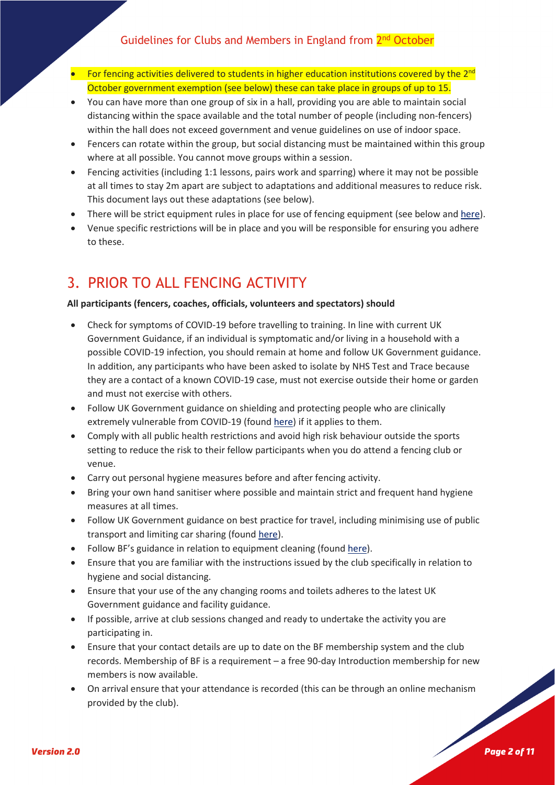- For fencing activities delivered to students in higher education institutions covered by the 2<sup>nd</sup> October government exemption (see below) these can take place in groups of up to 15.
- You can have more than one group of six in a hall, providing you are able to maintain social distancing within the space available and the total number of people (including non-fencers) within the hall does not exceed government and venue guidelines on use of indoor space.
- Fencers can rotate within the group, but social distancing must be maintained within this group where at all possible. You cannot move groups within a session.
- Fencing activities (including 1:1 lessons, pairs work and sparring) where it may not be possible at all times to stay 2m apart are subject to adaptations and additional measures to reduce risk. This document lays out these adaptations (see below).
- There will be strict equipment rules in place for use of fencing equipment (see below and [here\)](https://www.britishfencing.com/return-to-fencing-club-resources/).
- Venue specific restrictions will be in place and you will be responsible for ensuring you adhere to these.

# 3. PRIOR TO ALL FENCING ACTIVITY

#### **All participants (fencers, coaches, officials, volunteers and spectators) should**

- Check for symptoms of COVID-19 before travelling to training. In line with current UK Government Guidance, if an individual is symptomatic and/or living in a household with a possible COVID-19 infection, you should remain at home and follow UK Government guidance. In addition, any participants who have been asked to isolate by NHS Test and Trace because they are a contact of a known COVID-19 case, must not exercise outside their home or garden and must not exercise with others.
- Follow UK Government guidance on shielding and protecting people who are clinically extremely vulnerable from COVID-19 (foun[d here\)](https://www.gov.uk/government/publications/guidance-on-shielding-and-protecting-extremely-vulnerable-persons-from-covid-19/guidance-on-shielding-and-protecting-extremely-vulnerable-persons-from-covid-19) if it applies to them.
- Comply with all public health restrictions and avoid high risk behaviour outside the sports setting to reduce the risk to their fellow participants when you do attend a fencing club or venue.
- Carry out personal hygiene measures before and after fencing activity.
- Bring your own hand sanitiser where possible and maintain strict and frequent hand hygiene measures at all times.
- Follow UK Government guidance on best practice for travel, including minimising use of public transport and limiting car sharing (found [here\)](https://www.gov.uk/guidance/coronavirus-covid-19-safer-travel-guidance-for-passengers).
- Follow BF's guidance in relation to equipment cleaning (found [here\)](https://www.britishfencing.com/return-to-fencing-club-resources/).
- Ensure that you are familiar with the instructions issued by the club specifically in relation to hygiene and social distancing.
- Ensure that your use of the any changing rooms and toilets adheres to the latest UK Government guidance and facility guidance.
- If possible, arrive at club sessions changed and ready to undertake the activity you are participating in.
- Ensure that your contact details are up to date on the BF membership system and the club records. Membership of BF is a requirement – a free 90-day Introduction membership for new members is now available.
- On arrival ensure that your attendance is recorded (this can be through an online mechanism provided by the club).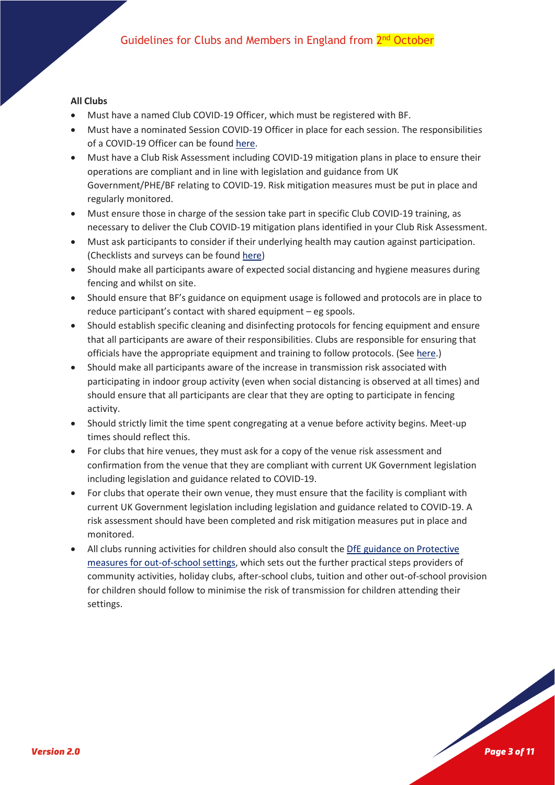#### **All Clubs**

- Must have a named Club COVID-19 Officer, which must be registered with BF.
- Must have a nominated Session COVID-19 Officer in place for each session. The responsibilities of a COVID-19 Officer can be found [here.](https://www.britishfencing.com/return-to-fencing-club-resources/)
- Must have a Club Risk Assessment including COVID-19 mitigation plans in place to ensure their operations are compliant and in line with legislation and guidance from UK Government/PHE/BF relating to COVID-19. Risk mitigation measures must be put in place and regularly monitored.
- Must ensure those in charge of the session take part in specific Club COVID-19 training, as necessary to deliver the Club COVID-19 mitigation plans identified in your Club Risk Assessment.
- Must ask participants to consider if their underlying health may caution against participation. (Checklists and surveys can be found [here\)](https://www.britishfencing.com/return-to-fencing-club-resources/)
- Should make all participants aware of expected social distancing and hygiene measures during fencing and whilst on site.
- Should ensure that BF's guidance on equipment usage is followed and protocols are in place to reduce participant's contact with shared equipment – eg spools.
- Should establish specific cleaning and disinfecting protocols for fencing equipment and ensure that all participants are aware of their responsibilities. Clubs are responsible for ensuring that officials have the appropriate equipment and training to follow protocols. (See [here.](https://www.britishfencing.com/return-to-fencing-club-resources/))
- Should make all participants aware of the increase in transmission risk associated with participating in indoor group activity (even when social distancing is observed at all times) and should ensure that all participants are clear that they are opting to participate in fencing activity.
- Should strictly limit the time spent congregating at a venue before activity begins. Meet-up times should reflect this.
- For clubs that hire venues, they must ask for a copy of the venue risk assessment and confirmation from the venue that they are compliant with current UK Government legislation including legislation and guidance related to COVID-19.
- For clubs that operate their own venue, they must ensure that the facility is compliant with current UK Government legislation including legislation and guidance related to COVID-19. A risk assessment should have been completed and risk mitigation measures put in place and monitored.
- All clubs running activities for children should also consult the [DfE guidance on Protective](https://www.gov.uk/government/publications/protective-measures-for-holiday-or-after-school-clubs-and-other-out-of-school-settings-for-children-during-the-coronavirus-covid-19-outbreak)  [measures for out-of-school settings,](https://www.gov.uk/government/publications/protective-measures-for-holiday-or-after-school-clubs-and-other-out-of-school-settings-for-children-during-the-coronavirus-covid-19-outbreak) which sets out the further practical steps providers of community activities, holiday clubs, after-school clubs, tuition and other out-of-school provision for children should follow to minimise the risk of transmission for children attending their settings.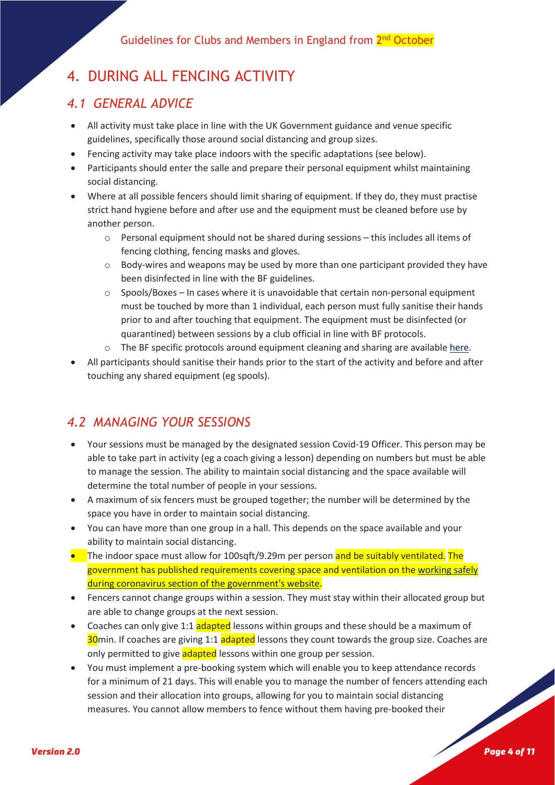# 4. DURING ALL FENCING ACTIVITY

### *4.1 GENERAL ADVICE*

- All activity must take place in line with the UK Government guidance and venue specific guidelines, specifically those around social distancing and group sizes.
- Fencing activity may take place indoors with the specific adaptations (see below).
- Participants should enter the salle and prepare their personal equipment whilst maintaining social distancing.
- Where at all possible fencers should limit sharing of equipment. If they do, they must practise strict hand hygiene before and after use and the equipment must be cleaned before use by another person.
	- o Personal equipment should not be shared during sessions this includes all items of fencing clothing, fencing masks and gloves.
	- o Body-wires and weapons may be used by more than one participant provided they have been disinfected in line with the BF guidelines.
	- $\circ$  Spools/Boxes In cases where it is unavoidable that certain non-personal equipment must be touched by more than 1 individual, each person must fully sanitise their hands prior to and after touching that equipment. The equipment must be disinfected (or quarantined) between sessions by a club official in line with BF protocols.
	- o The BF specific protocols around equipment cleaning and sharing are availabl[e here.](https://www.britishfencing.com/return-to-fencing-club-resources/)
- All participants should sanitise their hands prior to the start of the activity and before and after touching any shared equipment (eg spools).

### *4.2 MANAGING YOUR SESSIONS*

- Your sessions must be managed by the designated session Covid-19 Officer. This person may be able to take part in activity (eg a coach giving a lesson) depending on numbers but must be able to manage the session. The ability to maintain social distancing and the space available will determine the total number of people in your sessions.
- A maximum of six fencers must be grouped together; the number will be determined by the space you have in order to maintain social distancing.
- You can have more than one group in a hall. This depends on the space available and your ability to maintain social distancing.
- The indoor space must allow for 100sqft/9.29m per person and be suitably ventilated. The government has published requirements covering space and ventilation on th[e working safely](https://www.gov.uk/guidance/working-safely-during-coronavirus-covid-19/providers-of-grassroots-sport-and-gym-leisure-facilities)  during coronavirus [section of the government's website.](https://www.gov.uk/guidance/working-safely-during-coronavirus-covid-19/providers-of-grassroots-sport-and-gym-leisure-facilities)
- Fencers cannot change groups within a session. They must stay within their allocated group but are able to change groups at the next session.
- Coaches can only give 1:1 adapted lessons within groups and these should be a maximum of 30<sub>min</sub>. If coaches are giving 1:1 adapted lessons they count towards the group size. Coaches are only permitted to give adapted lessons within one group per session.
- You must implement a pre-booking system which will enable you to keep attendance records for a minimum of 21 days. This will enable you to manage the number of fencers attending each session and their allocation into groups, allowing for you to maintain social distancing measures. You cannot allow members to fence without them having pre-booked their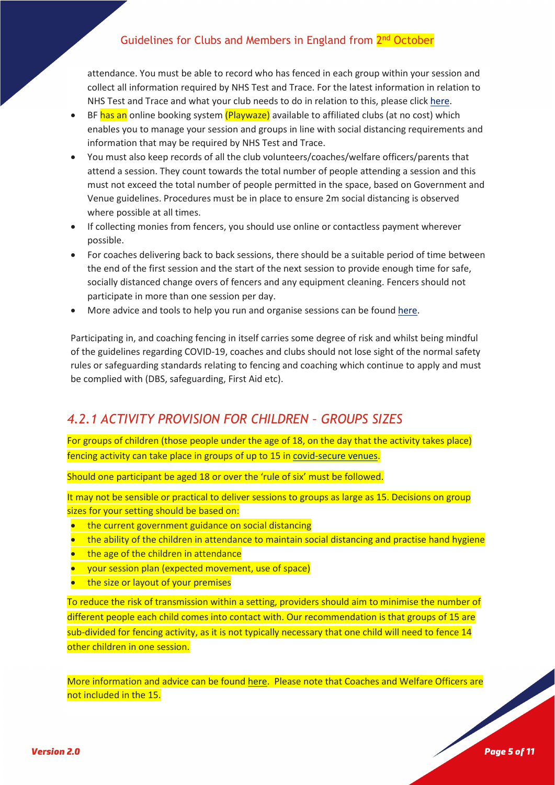attendance. You must be able to record who has fenced in each group within your session and collect all information required by NHS Test and Trace. For the latest information in relation to NHS Test and Trace and what your club needs to do in relation to this, please clic[k here.](https://www.gov.uk/guidance/nhs-test-and-trace-how-it-works)

- BF has an online booking system (Playwaze) available to affiliated clubs (at no cost) which enables you to manage your session and groups in line with social distancing requirements and information that may be required by NHS Test and Trace.
- You must also keep records of all the club volunteers/coaches/welfare officers/parents that attend a session. They count towards the total number of people attending a session and this must not exceed the total number of people permitted in the space, based on Government and Venue guidelines. Procedures must be in place to ensure 2m social distancing is observed where possible at all times.
- If collecting monies from fencers, you should use online or contactless payment wherever possible.
- For coaches delivering back to back sessions, there should be a suitable period of time between the end of the first session and the start of the next session to provide enough time for safe, socially distanced change overs of fencers and any equipment cleaning. Fencers should not participate in more than one session per day.
- More advice and tools to help you run and organise sessions can be found [here.](https://www.britishfencing.com/return-to-fencing-club-resources/)

Participating in, and coaching fencing in itself carries some degree of risk and whilst being mindful of the guidelines regarding COVID-19, coaches and clubs should not lose sight of the normal safety rules or safeguarding standards relating to fencing and coaching which continue to apply and must be complied with (DBS, safeguarding, First Aid etc).

### *4.2.1 ACTIVITY PROVISION FOR CHILDREN – GROUPS SIZES*

For groups of children (those people under the age of 18, on the day that the activity takes place) fencing activity can take place in groups of up to 15 i[n covid-secure venues.](https://www.gov.uk/government/publications/covid-19-guidance-for-the-safe-use-of-multi-purpose-community-facilities/covid-19-guidance-for-the-safe-use-of-multi-purpose-community-facilities)

Should one participant be aged 18 or over the 'rule of six' must be followed.

It may not be sensible or practical to deliver sessions to groups as large as 15. Decisions on group sizes for your setting should be based on:

- the current government guidance on social distancing
- the ability of the children in attendance to maintain social distancing and practise hand hygiene
- the age of the children in attendance
- vour session plan (expected movement, use of space)
- the size or layout of your premises

To reduce the risk of transmission within a setting, providers should aim to minimise the number of different people each child comes into contact with. Our recommendation is that groups of 15 are sub-divided for fencing activity, as it is not typically necessary that one child will need to fence 14 other children in one session.

More information and advice can be found [here.](https://www.gov.uk/government/publications/protective-measures-for-holiday-or-after-school-clubs-and-other-out-of-school-settings-for-children-during-the-coronavirus-covid-19-outbreak/protective-measures-for-out-of-school-settings-during-the-coronavirus-covid-19-outbreak) Please note that Coaches and Welfare Officers are not included in the 15.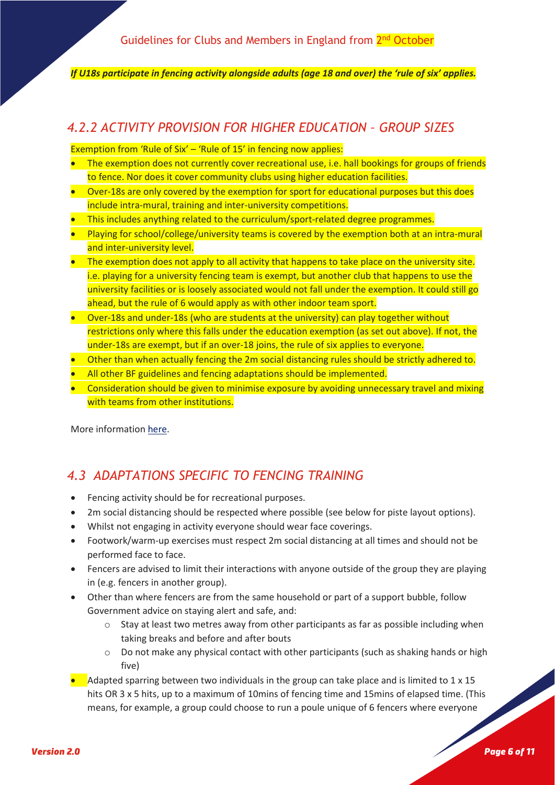*If U18s participate in fencing activity alongside adults (age 18 and over) the 'rule of six' applies.*

### *4.2.2 ACTIVITY PROVISION FOR HIGHER EDUCATION – GROUP SIZES*

Exemption from 'Rule of Six' - 'Rule of 15' in fencing now applies:

- The exemption does not currently cover recreational use, i.e. hall bookings for groups of friends to fence. Nor does it cover community clubs using higher education facilities.
- Over-18s are only covered by the exemption for sport for educational purposes but this does include intra-mural, training and inter-university competitions.
- This includes anything related to the curriculum/sport-related degree programmes.
- Playing for school/college/university teams is covered by the exemption both at an intra-mural and inter-university level.
- The exemption does not apply to all activity that happens to take place on the university site. i.e. playing for a university fencing team is exempt, but another club that happens to use the university facilities or is loosely associated would not fall under the exemption. It could still go ahead, but the rule of 6 would apply as with other indoor team sport.
- Over-18s and under-18s (who are students at the university) can play together without restrictions only where this falls under the education exemption (as set out above). If not, the under-18s are exempt, but if an over-18 joins, the rule of six applies to everyone.
- Other than when actually fencing the 2m social distancing rules should be strictly adhered to.
- All other BF guidelines and fencing adaptations should be implemented.
- Consideration should be given to minimise exposure by avoiding unnecessary travel and mixing with teams from other institutions.

More informatio[n here.](https://www.bucs.org.uk/return-to-play.html?utm_medium=email&utm_source=dotdigital&utm_institution=&dm_i=5AKK,9KEB,3JF908,12HXN,1)

### *4.3 ADAPTATIONS SPECIFIC TO FENCING TRAINING*

- Fencing activity should be for recreational purposes.
- 2m social distancing should be respected where possible (see below for piste layout options).
- Whilst not engaging in activity everyone should wear face coverings.
- Footwork/warm-up exercises must respect 2m social distancing at all times and should not be performed face to face.
- Fencers are advised to limit their interactions with anyone outside of the group they are playing in (e.g. fencers in another group).
- Other than where fencers are from the same household or part of a support bubble, follow Government advice on staying alert and safe, and:
	- $\circ$  Stay at least two metres away from other participants as far as possible including when taking breaks and before and after bouts
	- o Do not make any physical contact with other participants (such as shaking hands or high five)
- Adapted sparring between two individuals in the group can take place and is limited to 1 x 15 hits OR 3 x 5 hits, up to a maximum of 10mins of fencing time and 15mins of elapsed time. (This means, for example, a group could choose to run a poule unique of 6 fencers where everyone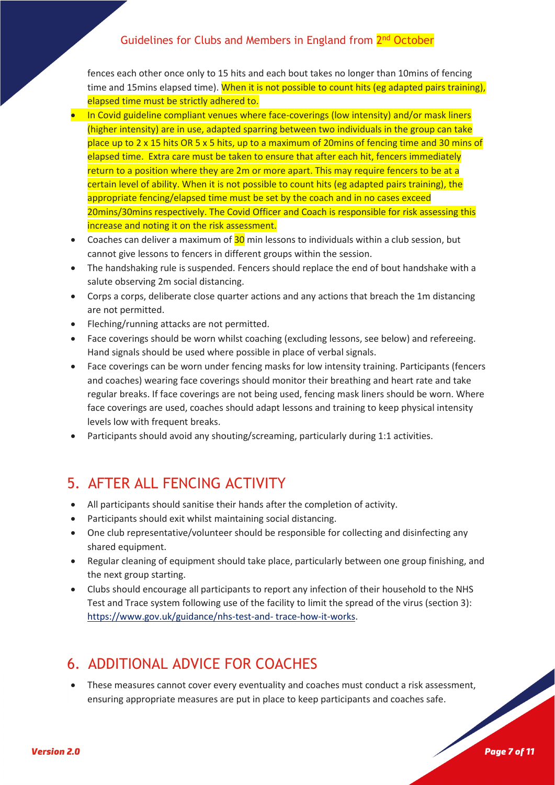fences each other once only to 15 hits and each bout takes no longer than 10mins of fencing time and 15mins elapsed time). When it is not possible to count hits (eg adapted pairs training), elapsed time must be strictly adhered to.

- In Covid guideline compliant venues where face-coverings (low intensity) and/or mask liners (higher intensity) are in use, adapted sparring between two individuals in the group can take place up to 2 x 15 hits OR 5 x 5 hits, up to a maximum of 20mins of fencing time and 30 mins of elapsed time. Extra care must be taken to ensure that after each hit, fencers immediately return to a position where they are 2m or more apart. This may require fencers to be at a certain level of ability. When it is not possible to count hits (eg adapted pairs training), the appropriate fencing/elapsed time must be set by the coach and in no cases exceed 20mins/30mins respectively. The Covid Officer and Coach is responsible for risk assessing this increase and noting it on the risk assessment.
- Coaches can deliver a maximum of 30 min lessons to individuals within a club session, but cannot give lessons to fencers in different groups within the session.
- The handshaking rule is suspended. Fencers should replace the end of bout handshake with a salute observing 2m social distancing.
- Corps a corps, deliberate close quarter actions and any actions that breach the 1m distancing are not permitted.
- Fleching/running attacks are not permitted.
- Face coverings should be worn whilst coaching (excluding lessons, see below) and refereeing. Hand signals should be used where possible in place of verbal signals.
- Face coverings can be worn under fencing masks for low intensity training. Participants (fencers and coaches) wearing face coverings should monitor their breathing and heart rate and take regular breaks. If face coverings are not being used, fencing mask liners should be worn. Where face coverings are used, coaches should adapt lessons and training to keep physical intensity levels low with frequent breaks.
- Participants should avoid any shouting/screaming, particularly during 1:1 activities.

# 5. AFTER ALL FENCING ACTIVITY

- All participants should sanitise their hands after the completion of activity.
- Participants should exit whilst maintaining social distancing.
- One club representative/volunteer should be responsible for collecting and disinfecting any shared equipment.
- Regular cleaning of equipment should take place, particularly between one group finishing, and the next group starting.
- Clubs should encourage all participants to report any infection of their household to the NHS Test and Trace system following use of the facility to limit the spread of the virus (section 3): [https://www.gov.uk/guidance/nhs-test-and-](https://www.gov.uk/guidance/nhs-test-and-%20trace-how-it-works) trace-how-it-works.

# 6. ADDITIONAL ADVICE FOR COACHES

• These measures cannot cover every eventuality and coaches must conduct a risk assessment, ensuring appropriate measures are put in place to keep participants and coaches safe.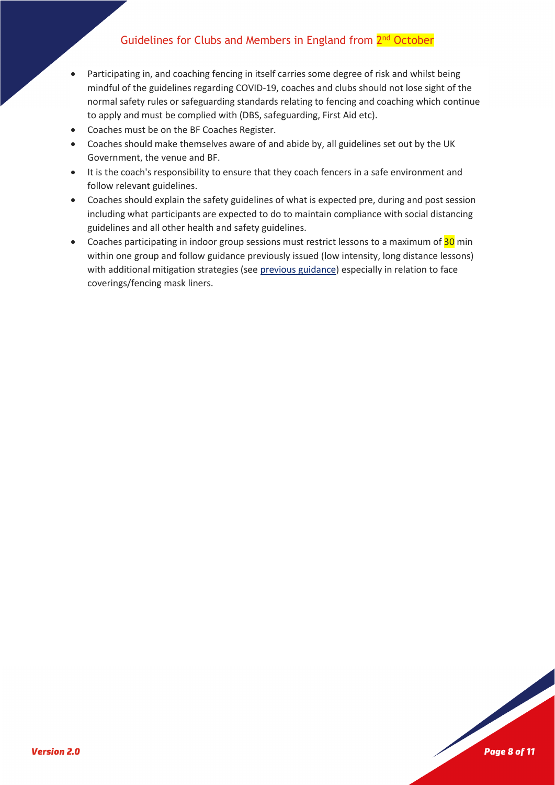- Participating in, and coaching fencing in itself carries some degree of risk and whilst being mindful of the guidelines regarding COVID-19, coaches and clubs should not lose sight of the normal safety rules or safeguarding standards relating to fencing and coaching which continue to apply and must be complied with (DBS, safeguarding, First Aid etc).
- Coaches must be on the BF Coaches Register.
- Coaches should make themselves aware of and abide by, all guidelines set out by the UK Government, the venue and BF.
- It is the coach's responsibility to ensure that they coach fencers in a safe environment and follow relevant guidelines.
- Coaches should explain the safety guidelines of what is expected pre, during and post session including what participants are expected to do to maintain compliance with social distancing guidelines and all other health and safety guidelines.
- Coaches participating in indoor group sessions must restrict lessons to a maximum of 30 min within one group and follow guidance previously issued (low intensity, long distance lessons) with additional mitigation strategies (see [previous guidance\)](https://www.britishfencing.com/training-guidance-new-social-distancing-england/) especially in relation to face coverings/fencing mask liners.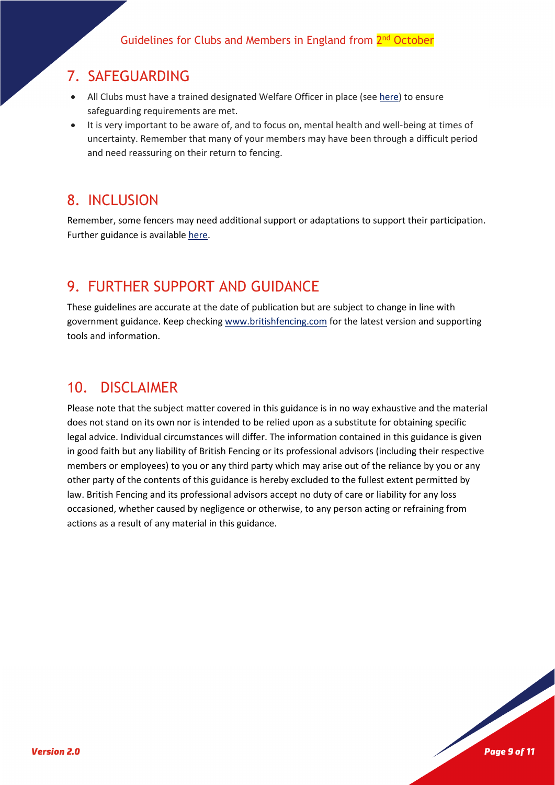### 7. SAFEGUARDING

- All Clubs must have a trained designated Welfare Officer in place (see [here\)](https://www.britishfencing.com/welfare-zone/welfare-club-resources/) to ensure safeguarding requirements are met.
- It is very important to be aware of, and to focus on, mental health and well-being at times of uncertainty. Remember that many of your members may have been through a difficult period and need reassuring on their return to fencing.

# 8. INCLUSION

Remember, some fencers may need additional support or adaptations to support their participation. Further guidance is available [here.](https://www.britishfencing.com/welfare-zone/welfare-club-resources/)

## 9. FURTHER SUPPORT AND GUIDANCE

These guidelines are accurate at the date of publication but are subject to change in line with government guidance. Keep checkin[g www.britishfencing.com](http://www.britishfencing.com/) for the latest version and supporting tools and information.

### 10. DISCLAIMER

Please note that the subject matter covered in this guidance is in no way exhaustive and the material does not stand on its own nor is intended to be relied upon as a substitute for obtaining specific legal advice. Individual circumstances will differ. The information contained in this guidance is given in good faith but any liability of British Fencing or its professional advisors (including their respective members or employees) to you or any third party which may arise out of the reliance by you or any other party of the contents of this guidance is hereby excluded to the fullest extent permitted by law. British Fencing and its professional advisors accept no duty of care or liability for any loss occasioned, whether caused by negligence or otherwise, to any person acting or refraining from actions as a result of any material in this guidance.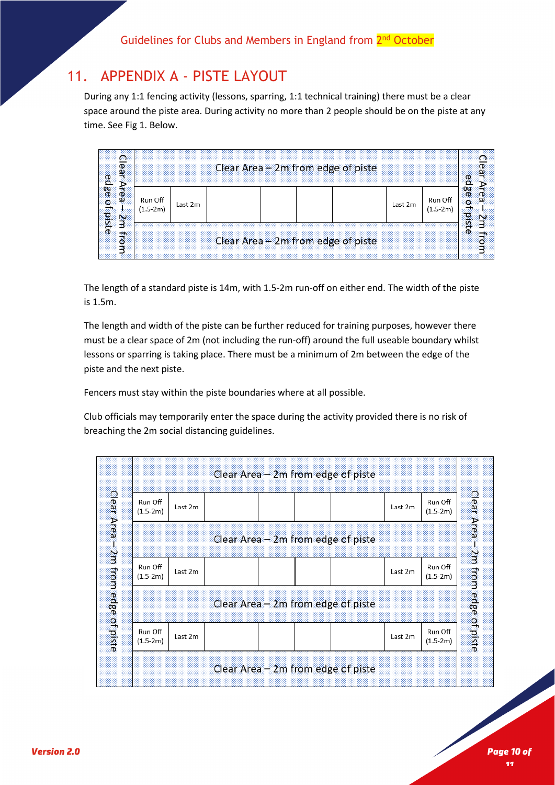### 11. APPENDIX A - PISTE LAYOUT

During any 1:1 fencing activity (lessons, sparring, 1:1 technical training) there must be a clear space around the piste area. During activity no more than 2 people should be on the piste at any time. See Fig 1. Below.

| ౧<br>÷.                                 | Clear Area - 2m from edge of piste |         |  |  |                                    |         |                       |                                      |
|-----------------------------------------|------------------------------------|---------|--|--|------------------------------------|---------|-----------------------|--------------------------------------|
| edge of<br><b>CD</b><br>ω<br>piste<br>Ņ | Run Off<br>$(1.5-2m)$              | Last 2m |  |  |                                    | Last 2m | Run Off<br>$(1.5-2m)$ | edge<br>$\overline{\mathbf{a}}$<br>ø |
| Θ                                       |                                    |         |  |  | Clear Area - 2m from edge of piste |         |                       | ste<br>Θ                             |

The length of a standard piste is 14m, with 1.5-2m run-off on either end. The width of the piste is 1.5m.

The length and width of the piste can be further reduced for training purposes, however there must be a clear space of 2m (not including the run-off) around the full useable boundary whilst lessons or sparring is taking place. There must be a minimum of 2m between the edge of the piste and the next piste.

Fencers must stay within the piste boundaries where at all possible.

Club officials may temporarily enter the space during the activity provided there is no risk of breaching the 2m social distancing guidelines.

|                       |                                      |         |  |  |  | Clear Area – 2m from edge of piste   |         |                       |               |
|-----------------------|--------------------------------------|---------|--|--|--|--------------------------------------|---------|-----------------------|---------------|
| Clear Area            | Run Off<br>$(1.5-2m)$                | Last 2m |  |  |  |                                      | Last 2m | Run Off<br>$(1.5-2m)$ | Clear<br>Area |
| J.                    | Clear Area – 2m from edge of piste   |         |  |  |  |                                      |         |                       |               |
|                       | Run Off<br>$(1.5-2m)$                | Last 2m |  |  |  |                                      | Last 2m | Run Off<br>$(1.5-2m)$ | 2m from       |
| 2m from edge of piste | Clear Area $-$ 2m from edge of piste |         |  |  |  |                                      |         |                       |               |
|                       | Run Off<br>$(1.5-2m)$                | Last 2m |  |  |  |                                      | Last 2m | Run Off<br>$(1.5-2m)$ | edge of piste |
|                       |                                      |         |  |  |  | Clear Area $-$ 2m from edge of piste |         |                       |               |